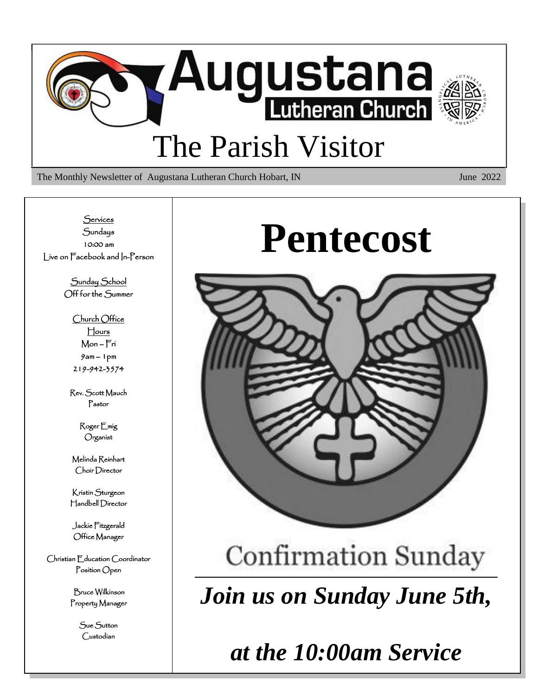

The Monthly Newsletter of Augustana Lutheran Church Hobart, IN June 2022

**Services Sundays** 10:00 am Live on Facebook and In-Person

> Sunday School Off for the Summer

> > Church Office Hours Mon – Fri 9am – 1pm 219-942-3574

Rev. Scott Mauch Pastor

> Roger Emig Organist

Melinda Reinhart Choir Director

Kristin Sturgeon Handbell Director

Jackie Fitzgerald Office Manager

Christian Education Coordinator Position Open

> Bruce Wilkinson Property Manager

> > Sue Sutton Custodian

# **Pentecost**



## **Confirmation Sunday**

*Join us on Sunday June 5th,*

*at the 10:00am Service*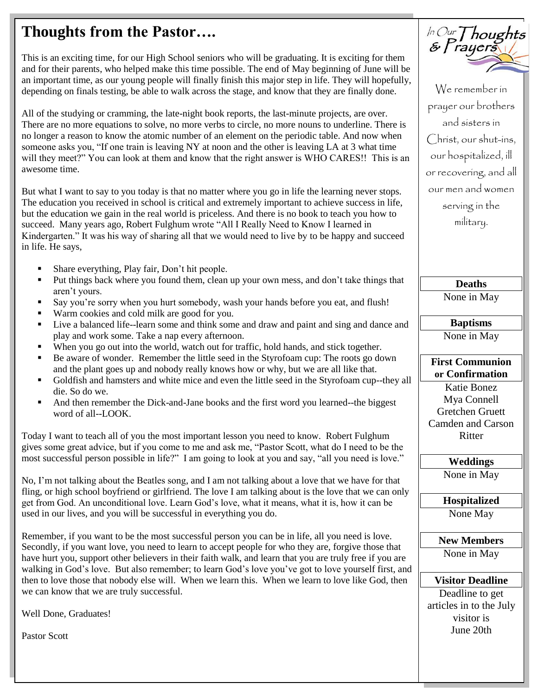## **Thoughts from the Pastor….**

This is an exciting time, for our High School seniors who will be graduating. It is exciting for them and for their parents, who helped make this time possible. The end of May beginning of June will be an important time, as our young people will finally finish this major step in life. They will hopefully, depending on finals testing, be able to walk across the stage, and know that they are finally done.

All of the studying or cramming, the late-night book reports, the last-minute projects, are over. There are no more equations to solve, no more verbs to circle, no more nouns to underline. There is no longer a reason to know the atomic number of an element on the periodic table. And now when someone asks you, "If one train is leaving NY at noon and the other is leaving LA at 3 what time will they meet?" You can look at them and know that the right answer is WHO CARES!! This is an awesome time.

But what I want to say to you today is that no matter where you go in life the learning never stops. The education you received in school is critical and extremely important to achieve success in life, but the education we gain in the real world is priceless. And there is no book to teach you how to succeed. Many years ago, Robert Fulghum wrote "All I Really Need to Know I learned in Kindergarten." It was his way of sharing all that we would need to live by to be happy and succeed in life. He says,

- Share everything, Play fair, Don't hit people.
- Put things back where you found them, clean up your own mess, and don't take things that aren't yours.
- Say you're sorry when you hurt somebody, wash your hands before you eat, and flush!
- Warm cookies and cold milk are good for you.
- Live a balanced life--learn some and think some and draw and paint and sing and dance and play and work some. Take a nap every afternoon.
- When you go out into the world, watch out for traffic, hold hands, and stick together.
- Be aware of wonder. Remember the little seed in the Styrofoam cup: The roots go down and the plant goes up and nobody really knows how or why, but we are all like that.
- Goldfish and hamsters and white mice and even the little seed in the Styrofoam cup--they all die. So do we.
- And then remember the Dick-and-Jane books and the first word you learned--the biggest word of all--LOOK.

Today I want to teach all of you the most important lesson you need to know. Robert Fulghum gives some great advice, but if you come to me and ask me, "Pastor Scott, what do I need to be the most successful person possible in life?" I am going to look at you and say, "all you need is love."

No, I'm not talking about the Beatles song, and I am not talking about a love that we have for that fling, or high school boyfriend or girlfriend. The love I am talking about is the love that we can only get from God. An unconditional love. Learn God's love, what it means, what it is, how it can be used in our lives, and you will be successful in everything you do.

Remember, if you want to be the most successful person you can be in life, all you need is love. Secondly, if you want love, you need to learn to accept people for who they are, forgive those that have hurt you, support other believers in their faith walk, and learn that you are truly free if you are walking in God's love. But also remember; to learn God's love you've got to love yourself first, and then to love those that nobody else will. When we learn this. When we learn to love like God, then we can know that we are truly successful.

Well Done, Graduates!

Pastor Scott



We remember in prayer our brothers and sisters in Christ, our shut-ins, our hospitalized, ill or recovering, and all our men and women serving in the military.

> **Deaths** None in May

**Baptisms** None in May

**First Communion or Confirmation** 

Katie Bonez Mya Connell Gretchen Gruett Camden and Carson Ritter

**Weddings** None in May

**Hospitalized** None May

**New Members** None in May

**Visitor Deadline**

Deadline to get articles in to the July visitor is June 20th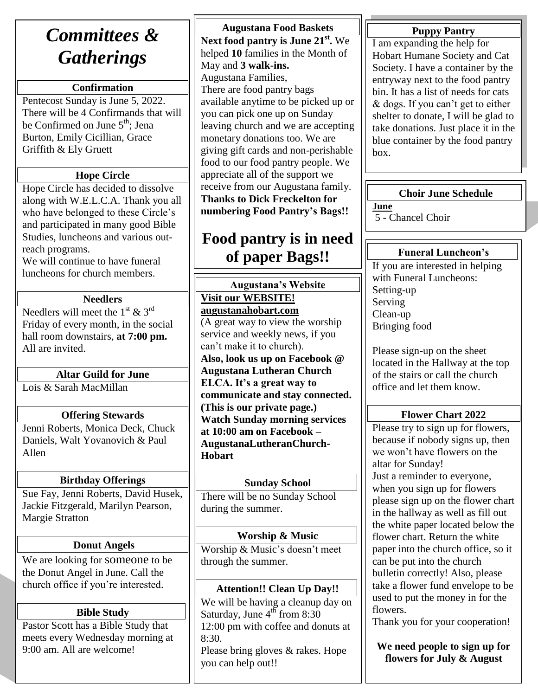## *Committees & Gatherings*

## **Confirmation**

Pentecost Sunday is June 5, 2022. There will be 4 Confirmands that will be Confirmed on June 5<sup>th</sup>; Jena Burton, Emily Cicillian, Grace Griffith & Ely Gruett

## **Hope Circle**

Hope Circle has decided to dissolve along with W.E.L.C.A. Thank you all who have belonged to these Circle's and participated in many good Bible Studies, luncheons and various outreach programs.

We will continue to have funeral luncheons for church members.

#### **Needlers**

Needlers will meet the  $1^{st}$  &  $3^{rd}$ Friday of every month, in the social hall room downstairs, **at 7:00 pm.**  All are invited.

### **Altar Guild for June**

Lois & Sarah MacMillan

### **Offering Stewards**

Jenni Roberts, Monica Deck, Chuck Daniels, Walt Yovanovich & Paul Allen

### **Birthday Offerings**

Sue Fay, Jenni Roberts, David Husek, Jackie Fitzgerald, Marilyn Pearson, Margie Stratton

### **Donut Angels**

We are looking for someone to be the Donut Angel in June. Call the church office if you're interested.

### **Bible Study**

Pastor Scott has a Bible Study that meets every Wednesday morning at 9:00 am. All are welcome!

**Augustana Food Baskets Next food pantry is June 21st .** We helped **10** families in the Month of May and **3 walk-ins.** Augustana Families, There are food pantry bags available anytime to be picked up or you can pick one up on Sunday leaving church and we are accepting monetary donations too. We are giving gift cards and non-perishable food to our food pantry people. We appreciate all of the support we receive from our Augustana family. **Thanks to Dick Freckelton for numbering Food Pantry's Bags!!**

## **Food pantry is in need of paper Bags!!**

**Augustana's Website Visit our WEBSITE! augustanahobart.com** (A great way to view the worship service and weekly news, if you can't make it to church). **Also, look us up on Facebook @ Augustana Lutheran Church ELCA. It's a great way to communicate and stay connected. (This is our private page.) Watch Sunday morning services at 10:00 am on Facebook – AugustanaLutheranChurch-Hobart**

### **Sunday School**

There will be no Sunday School during the summer.

**Worship & Music** Worship & Music's doesn't meet through the summer.

### **Attention!! Clean Up Day!!**

We will be having a cleanup day on Saturday, June  $4<sup>th</sup>$  from  $8:30-$ 12:00 pm with coffee and donuts at 8:30.

Please bring gloves & rakes. Hope you can help out!!

## **Puppy Pantry**

I am expanding the help for Hobart Humane Society and Cat Society. I have a container by the entryway next to the food pantry bin. It has a list of needs for cats & dogs. If you can't get to either shelter to donate, I will be glad to take donations. Just place it in the blue container by the food pantry box.

### **Choir June Schedule**

**June** 5 - Chancel Choir

Ruth Mueller

### **Funeral Luncheon's**

If you are interested in helping with Funeral Luncheons: Setting-up Serving Clean-up Bringing food

Please sign-up on the sheet located in the Hallway at the top of the stairs or call the church office and let them know.

## **Flower Chart 2022**

Please try to sign up for flowers, because if nobody signs up, then we won't have flowers on the altar for Sunday! Just a reminder to everyone, when you sign up for flowers please sign up on the flower chart in the hallway as well as fill out the white paper located below the flower chart. Return the white paper into the church office, so it can be put into the church bulletin correctly! Also, please take a flower fund envelope to be used to put the money in for the flowers.

Thank you for your cooperation!

**We need people to sign up for flowers for July & August**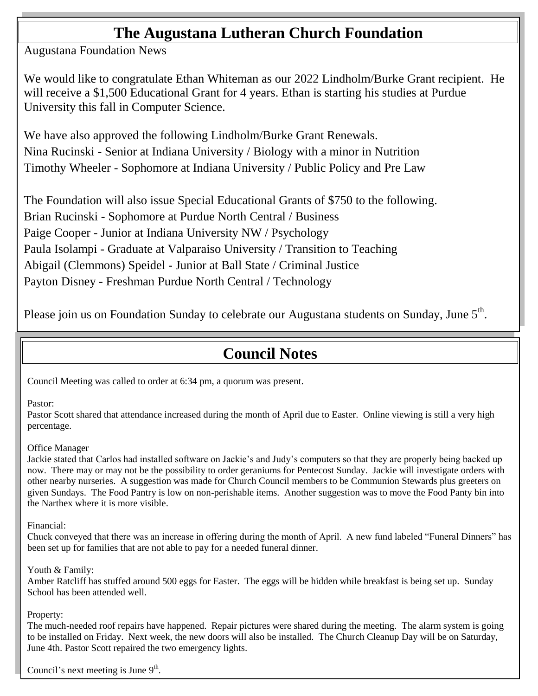## **The Augustana Lutheran Church Foundation**

Augustana Foundation News

We would like to congratulate Ethan Whiteman as our 2022 Lindholm/Burke Grant recipient. He will receive a \$1,500 Educational Grant for 4 years. Ethan is starting his studies at Purdue University this fall in Computer Science.

We have also approved the following Lindholm/Burke Grant Renewals. Nina Rucinski - Senior at Indiana University / Biology with a minor in Nutrition Timothy Wheeler - Sophomore at Indiana University / Public Policy and Pre Law

The Foundation will also issue Special Educational Grants of \$750 to the following. Brian Rucinski - Sophomore at Purdue North Central / Business Paige Cooper - Junior at Indiana University NW / Psychology Paula Isolampi - Graduate at Valparaiso University / Transition to Teaching Abigail (Clemmons) Speidel - Junior at Ball State / Criminal Justice Payton Disney - Freshman Purdue North Central / Technology

Please join us on Foundation Sunday to celebrate our Augustana students on Sunday, June  $5^{\text{th}}$ .

## **Council Notes**

Council Meeting was called to order at 6:34 pm, a quorum was present.

#### Pastor:

Pastor Scott shared that attendance increased during the month of April due to Easter. Online viewing is still a very high percentage.

#### Office Manager

Jackie stated that Carlos had installed software on Jackie's and Judy's computers so that they are properly being backed up now. There may or may not be the possibility to order geraniums for Pentecost Sunday. Jackie will investigate orders with other nearby nurseries. A suggestion was made for Church Council members to be Communion Stewards plus greeters on given Sundays. The Food Pantry is low on non-perishable items. Another suggestion was to move the Food Panty bin into the Narthex where it is more visible.

Financial:

Chuck conveyed that there was an increase in offering during the month of April. A new fund labeled "Funeral Dinners" has been set up for families that are not able to pay for a needed funeral dinner.

Youth & Family:

Amber Ratcliff has stuffed around 500 eggs for Easter. The eggs will be hidden while breakfast is being set up. Sunday School has been attended well.

Property:

The much-needed roof repairs have happened. Repair pictures were shared during the meeting. The alarm system is going to be installed on Friday. Next week, the new doors will also be installed. The Church Cleanup Day will be on Saturday, June 4th. Pastor Scott repaired the two emergency lights.

Council's next meeting is June  $9<sup>th</sup>$ .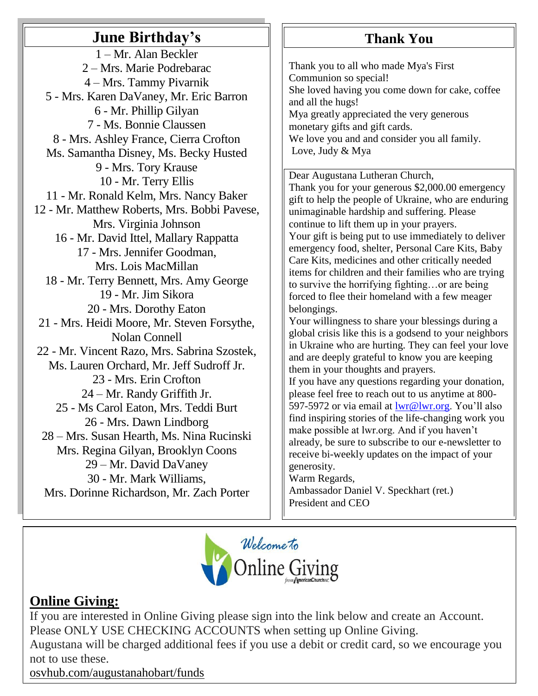## **June Birthday's**

1 – Mr. Alan Beckler 2 – Mrs. Marie Podrebarac 4 – Mrs. Tammy Pivarnik 5 - Mrs. Karen DaVaney, Mr. Eric Barron 6 - Mr. Phillip Gilyan 7 - Ms. Bonnie Claussen 8 - Mrs. Ashley France, Cierra Crofton Ms. Samantha Disney, Ms. Becky Husted 9 - Mrs. Tory Krause 10 - Mr. Terry Ellis 11 - Mr. Ronald Kelm, Mrs. Nancy Baker 12 - Mr. Matthew Roberts, Mrs. Bobbi Pavese, Mrs. Virginia Johnson 16 - Mr. David Ittel, Mallary Rappatta 17 - Mrs. Jennifer Goodman, Mrs. Lois MacMillan 18 - Mr. Terry Bennett, Mrs. Amy George 19 - Mr. Jim Sikora 20 - Mrs. Dorothy Eaton 21 - Mrs. Heidi Moore, Mr. Steven Forsythe, Nolan Connell 22 - Mr. Vincent Razo, Mrs. Sabrina Szostek, Ms. Lauren Orchard, Mr. Jeff Sudroff Jr. 23 - Mrs. Erin Crofton 24 – Mr. Randy Griffith Jr. 25 - Ms Carol Eaton, Mrs. Teddi Burt 26 - Mrs. Dawn Lindborg 28 – Mrs. Susan Hearth, Ms. Nina Rucinski Mrs. Regina Gilyan, Brooklyn Coons 29 – Mr. David DaVaney 30 - Mr. Mark Williams, Mrs. Dorinne Richardson, Mr. Zach Porter

## **Thank You**

Thank you to all who made Mya's First Communion so special! She loved having you come down for cake, coffee and all the hugs! Mya greatly appreciated the very generous monetary gifts and gift cards. We love you and and consider you all family. Love, Judy & Mya

Dear Augustana Lutheran Church,

Thank you for your generous \$2,000.00 emergency gift to help the people of Ukraine, who are enduring unimaginable hardship and suffering. Please continue to lift them up in your prayers. Your gift is being put to use immediately to deliver emergency food, shelter, Personal Care Kits, Baby Care Kits, medicines and other critically needed items for children and their families who are trying to survive the horrifying fighting…or are being forced to flee their homeland with a few meager belongings. Your willingness to share your blessings during a

global crisis like this is a godsend to your neighbors in Ukraine who are hurting. They can feel your love and are deeply grateful to know you are keeping them in your thoughts and prayers.

If you have any questions regarding your donation, please feel free to reach out to us anytime at 800- 597-5972 or via email at [lwr@lwr.org.](mailto:lwr@lwr.org) You'll also find inspiring stories of the life-changing work you make possible at lwr.org. And if you haven't already, be sure to subscribe to our e-newsletter to receive bi-weekly updates on the impact of your generosity.

Warm Regards,

Ambassador Daniel V. Speckhart (ret.) President and CEO



## **Online Giving:**

If you are interested in Online Giving please sign into the link below and create an Account. Please ONLY USE CHECKING ACCOUNTS when setting up Online Giving.

Augustana will be charged additional fees if you use a debit or credit card, so we encourage you not to use these.

[osvhub.com/augustanahobart/funds](http://osvhub.com/augustanahobart/funds)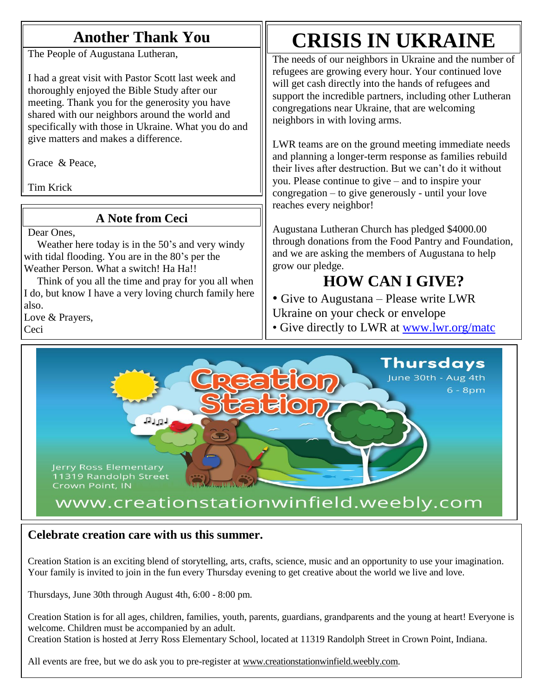## **Another Thank You**

The People of Augustana Lutheran,

I had a great visit with Pastor Scott last week and thoroughly enjoyed the Bible Study after our meeting. Thank you for the generosity you have shared with our neighbors around the world and specifically with those in Ukraine. What you do and give matters and makes a difference.

Grace & Peace,

Tim Krick

## **A Note from Ceci**

Dear Ones,

 Weather here today is in the 50's and very windy with tidal flooding. You are in the 80's per the Weather Person. What a switch! Ha Ha!!

 Think of you all the time and pray for you all when I do, but know I have a very loving church family here also.

Love & Prayers, Ceci

## **CRISIS IN UKRAINE**

The needs of our neighbors in Ukraine and the number of refugees are growing every hour. Your continued love will get cash directly into the hands of refugees and support the incredible partners, including other Lutheran congregations near Ukraine, that are welcoming neighbors in with loving arms.

LWR teams are on the ground meeting immediate needs and planning a longer-term response as families rebuild their lives after destruction. But we can't do it without you. Please continue to give – and to inspire your congregation – to give generously - until your love reaches every neighbor!

Augustana Lutheran Church has pledged \$4000.00 through donations from the Food Pantry and Foundation, and we are asking the members of Augustana to help grow our pledge.

## **HOW CAN I GIVE?**

• Give to Augustana – Please write LWR Ukraine on your check or envelope

• Give directly to LWR at [www.lwr.org/matc](http://www.lwr.org/matc)



## **Celebrate creation care with us this summer.**

Creation Station is an exciting blend of storytelling, arts, crafts, science, music and an opportunity to use your imagination. Your family is invited to join in the fun every Thursday evening to get creative about the world we live and love.

Thursdays, June 30th through August 4th, 6:00 - 8:00 pm.

Creation Station is for all ages, children, families, youth, parents, guardians, grandparents and the young at heart! Everyone is welcome. Children must be accompanied by an adult. Creation Station is hosted at Jerry Ross Elementary School, located at 11319 Randolph Street in Crown Point, Indiana.

All events are free, but we do ask you to pre-register at [www.creationstationwinfield.weebly.com.](http://www.creationstationwinfield.weebly.com/)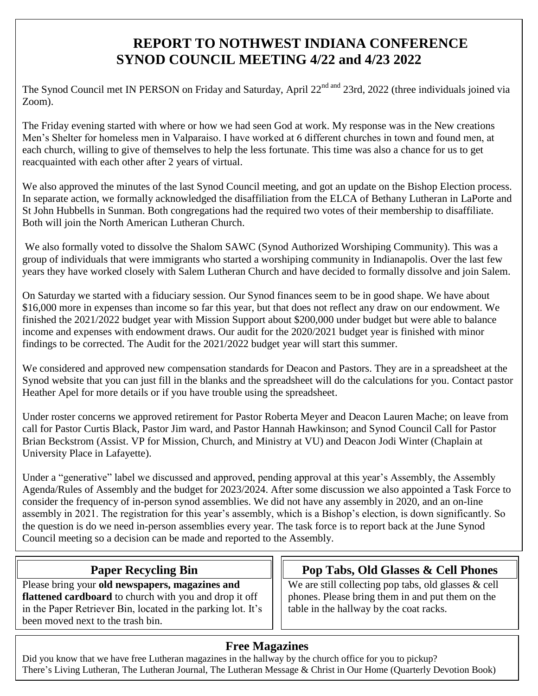## **REPORT TO NOTHWEST INDIANA CONFERENCE SYNOD COUNCIL MEETING 4/22 and 4/23 2022**

The Synod Council met IN PERSON on Friday and Saturday, April 22<sup>nd and</sup> 23rd, 2022 (three individuals joined via Zoom).

The Friday evening started with where or how we had seen God at work. My response was in the New creations Men's Shelter for homeless men in Valparaiso. I have worked at 6 different churches in town and found men, at each church, willing to give of themselves to help the less fortunate. This time was also a chance for us to get reacquainted with each other after 2 years of virtual.

We also approved the minutes of the last Synod Council meeting, and got an update on the Bishop Election process. In separate action, we formally acknowledged the disaffiliation from the ELCA of Bethany Lutheran in LaPorte and St John Hubbells in Sunman. Both congregations had the required two votes of their membership to disaffiliate. Both will join the North American Lutheran Church.

We also formally voted to dissolve the Shalom SAWC (Synod Authorized Worshiping Community). This was a group of individuals that were immigrants who started a worshiping community in Indianapolis. Over the last few years they have worked closely with Salem Lutheran Church and have decided to formally dissolve and join Salem.

On Saturday we started with a fiduciary session. Our Synod finances seem to be in good shape. We have about \$16,000 more in expenses than income so far this year, but that does not reflect any draw on our endowment. We finished the 2021/2022 budget year with Mission Support about \$200,000 under budget but were able to balance income and expenses with endowment draws. Our audit for the 2020/2021 budget year is finished with minor findings to be corrected. The Audit for the 2021/2022 budget year will start this summer.

We considered and approved new compensation standards for Deacon and Pastors. They are in a spreadsheet at the Synod website that you can just fill in the blanks and the spreadsheet will do the calculations for you. Contact pastor Heather Apel for more details or if you have trouble using the spreadsheet.

Under roster concerns we approved retirement for Pastor Roberta Meyer and Deacon Lauren Mache; on leave from call for Pastor Curtis Black, Pastor Jim ward, and Pastor Hannah Hawkinson; and Synod Council Call for Pastor Brian Beckstrom (Assist. VP for Mission, Church, and Ministry at VU) and Deacon Jodi Winter (Chaplain at University Place in Lafayette).

Under a "generative" label we discussed and approved, pending approval at this year's Assembly, the Assembly Agenda/Rules of Assembly and the budget for 2023/2024. After some discussion we also appointed a Task Force to consider the frequency of in-person synod assemblies. We did not have any assembly in 2020, and an on-line assembly in 2021. The registration for this year's assembly, which is a Bishop's election, is down significantly. So the question is do we need in-person assemblies every year. The task force is to report back at the June Synod Council meeting so a decision can be made and reported to the Assembly.

## **Paper Recycling Bin**

Please bring your **old newspapers, magazines and flattened cardboard** to church with you and drop it off in the Paper Retriever Bin, located in the parking lot. It's been moved next to the trash bin.

## **Pop Tabs, Old Glasses & Cell Phones**

We are still collecting pop tabs, old glasses & cell phones. Please bring them in and put them on the table in the hallway by the coat racks.

## **Free Magazines**

Did you know that we have free Lutheran magazines in the hallway by the church office for you to pickup? There's Living Lutheran, The Lutheran Journal, The Lutheran Message & Christ in Our Home (Quarterly Devotion Book)